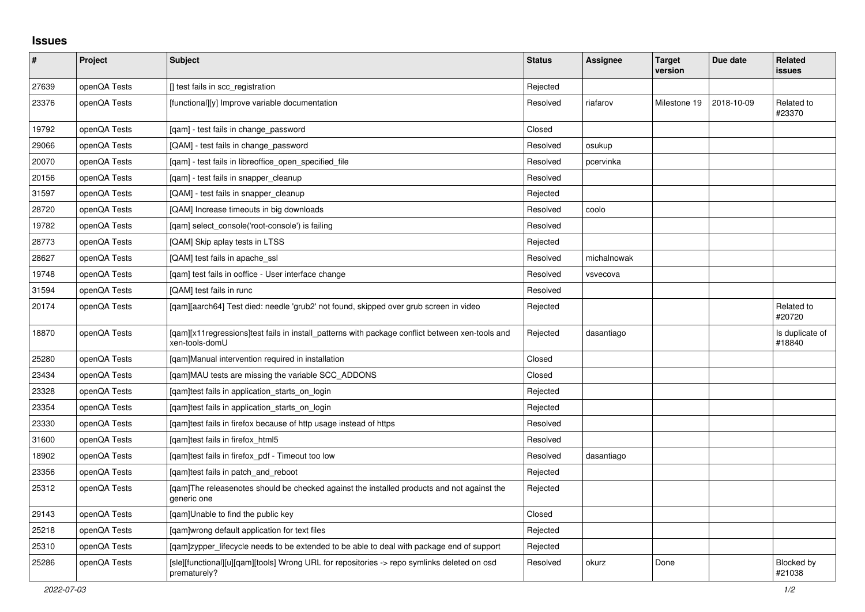## **Issues**

| #     | Project      | <b>Subject</b>                                                                                                     | <b>Status</b> | Assignee    | <b>Target</b><br>version | Due date   | <b>Related</b><br>issues    |
|-------|--------------|--------------------------------------------------------------------------------------------------------------------|---------------|-------------|--------------------------|------------|-----------------------------|
| 27639 | openQA Tests | [] test fails in scc_registration                                                                                  | Rejected      |             |                          |            |                             |
| 23376 | openQA Tests | [functional][y] Improve variable documentation                                                                     | Resolved      | riafarov    | Milestone 19             | 2018-10-09 | Related to<br>#23370        |
| 19792 | openQA Tests | [gam] - test fails in change password                                                                              | Closed        |             |                          |            |                             |
| 29066 | openQA Tests | [QAM] - test fails in change_password                                                                              | Resolved      | osukup      |                          |            |                             |
| 20070 | openQA Tests | [qam] - test fails in libreoffice_open_specified_file                                                              | Resolved      | pcervinka   |                          |            |                             |
| 20156 | openQA Tests | [gam] - test fails in snapper cleanup                                                                              | Resolved      |             |                          |            |                             |
| 31597 | openQA Tests | [QAM] - test fails in snapper_cleanup                                                                              | Rejected      |             |                          |            |                             |
| 28720 | openQA Tests | [QAM] Increase timeouts in big downloads                                                                           | Resolved      | coolo       |                          |            |                             |
| 19782 | openQA Tests | [gam] select console('root-console') is failing                                                                    | Resolved      |             |                          |            |                             |
| 28773 | openQA Tests | [QAM] Skip aplay tests in LTSS                                                                                     | Rejected      |             |                          |            |                             |
| 28627 | openQA Tests | [QAM] test fails in apache_ssl                                                                                     | Resolved      | michalnowak |                          |            |                             |
| 19748 | openQA Tests | [qam] test fails in ooffice - User interface change                                                                | Resolved      | vsvecova    |                          |            |                             |
| 31594 | openQA Tests | [QAM] test fails in runc                                                                                           | Resolved      |             |                          |            |                             |
| 20174 | openQA Tests | [gam][aarch64] Test died: needle 'grub2' not found, skipped over grub screen in video                              | Rejected      |             |                          |            | Related to<br>#20720        |
| 18870 | openQA Tests | [gam][x11 regressions]test fails in install patterns with package conflict between xen-tools and<br>xen-tools-domU | Rejected      | dasantiago  |                          |            | Is duplicate of<br>#18840   |
| 25280 | openQA Tests | [qam]Manual intervention required in installation                                                                  | Closed        |             |                          |            |                             |
| 23434 | openQA Tests | [qam]MAU tests are missing the variable SCC_ADDONS                                                                 | Closed        |             |                          |            |                             |
| 23328 | openQA Tests | [qam]test fails in application_starts_on_login                                                                     | Rejected      |             |                          |            |                             |
| 23354 | openQA Tests | [gam]test fails in application starts on login                                                                     | Rejected      |             |                          |            |                             |
| 23330 | openQA Tests | [gam]test fails in firefox because of http usage instead of https                                                  | Resolved      |             |                          |            |                             |
| 31600 | openQA Tests | [gam]test fails in firefox html5                                                                                   | Resolved      |             |                          |            |                             |
| 18902 | openQA Tests | [qam]test fails in firefox_pdf - Timeout too low                                                                   | Resolved      | dasantiago  |                          |            |                             |
| 23356 | openQA Tests | [qam]test fails in patch_and_reboot                                                                                | Rejected      |             |                          |            |                             |
| 25312 | openQA Tests | [qam]The releasenotes should be checked against the installed products and not against the<br>generic one          | Rejected      |             |                          |            |                             |
| 29143 | openQA Tests | [gam]Unable to find the public key                                                                                 | Closed        |             |                          |            |                             |
| 25218 | openQA Tests | [gam]wrong default application for text files                                                                      | Rejected      |             |                          |            |                             |
| 25310 | openQA Tests | [qam]zypper_lifecycle needs to be extended to be able to deal with package end of support                          | Rejected      |             |                          |            |                             |
| 25286 | openQA Tests | [sle][functional][u][qam][tools] Wrong URL for repositories -> repo symlinks deleted on osd<br>prematurely?        | Resolved      | okurz       | Done                     |            | <b>Blocked by</b><br>#21038 |